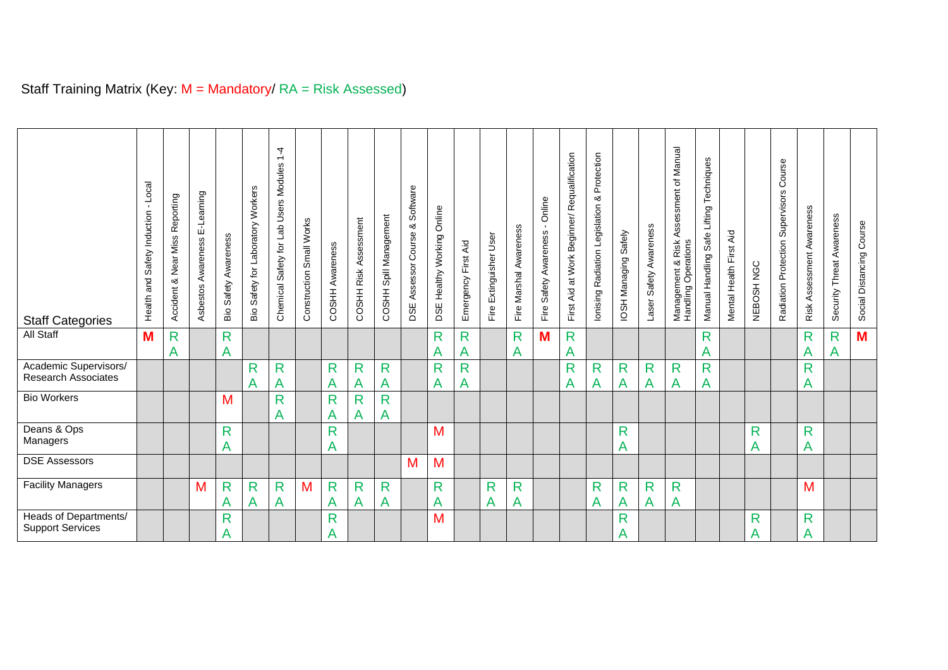| <b>Staff Categories</b>                             | Local<br>$\mathbf{r}$<br>Safety Induction<br>Health and | Reporting<br>Miss<br>Near<br>ఱ<br>Accident | E-Learning<br>Asbestos Awareness | Bio Safety Awareness | Safety for Laboratory Workers<br>ăв | 4<br>$\overline{ }$<br>Modules<br>Users<br>Safety for Lab<br>Chemical | Construction Small Works | Awareness<br>COSHH | Assessment<br><b>COSHH Risk</b> | COSHH Spill Management | Software<br>య<br>Course<br>Assessor<br>DSE | Online<br>Working<br>Healthy<br><b>DSE</b> | Aid<br>Emergency First | Fire Extinguisher User | Fire Marshal Awareness | Online<br>Awareness<br>Safety<br>Fire | First Aid at Work Beginner/ Requalification | Protection<br>య<br>Ionising Radiation Legislation | Safely<br>IOSH Managing | Safety Awareness<br>Laser | Manual<br>Assessment of<br>Management & Risk<br>Handling Operations<br>& Risk | Techniques<br>Manual Handling Safe Lifting | Mental Health First Aid | NEBOSH NGC | Course<br>Supervisors<br>Protection<br>Radiation | Awareness<br>Assessment<br>Risk | Security Threat Awareness | Social Distancing Course |
|-----------------------------------------------------|---------------------------------------------------------|--------------------------------------------|----------------------------------|----------------------|-------------------------------------|-----------------------------------------------------------------------|--------------------------|--------------------|---------------------------------|------------------------|--------------------------------------------|--------------------------------------------|------------------------|------------------------|------------------------|---------------------------------------|---------------------------------------------|---------------------------------------------------|-------------------------|---------------------------|-------------------------------------------------------------------------------|--------------------------------------------|-------------------------|------------|--------------------------------------------------|---------------------------------|---------------------------|--------------------------|
| All Staff                                           | M                                                       | R<br>Α                                     |                                  | $\mathsf{R}$<br>A    |                                     |                                                                       |                          |                    |                                 |                        |                                            | $\mathsf{R}$<br>Α                          | R<br>A                 |                        | $\mathsf{R}$<br>Α      | M                                     | $\mathsf{R}$<br>Α                           |                                                   |                         |                           |                                                                               | R<br>A                                     |                         |            |                                                  | $\mathsf{R}$<br>A               | $\mathsf{R}$<br>A         | M                        |
| Academic Supervisors/<br><b>Research Associates</b> |                                                         |                                            |                                  |                      | R<br>А                              | R<br>A                                                                |                          | R<br>A             | R<br>Α                          | $\mathsf{R}$<br>A      |                                            | $\mathsf{R}$<br>А                          | R<br>A                 |                        |                        |                                       | R<br>Α                                      | $\mathsf{R}$<br>A                                 | R<br>Α                  | R<br>Α                    | $\mathsf{R}$<br>A                                                             | R<br>А                                     |                         |            |                                                  | $\mathsf{R}$<br>Α               |                           |                          |
| <b>Bio Workers</b>                                  |                                                         |                                            |                                  | M                    |                                     | $\mathsf{R}$<br>A                                                     |                          | $\mathsf{R}$<br>A  | R<br>Α                          | $\mathsf{R}$<br>A      |                                            |                                            |                        |                        |                        |                                       |                                             |                                                   |                         |                           |                                                                               |                                            |                         |            |                                                  |                                 |                           |                          |
| Deans & Ops<br>Managers                             |                                                         |                                            |                                  | $\mathsf{R}$<br>A    |                                     |                                                                       |                          | $\mathsf{R}$<br>A  |                                 |                        |                                            | M                                          |                        |                        |                        |                                       |                                             |                                                   | R<br>Α                  |                           |                                                                               |                                            |                         | R<br>А     |                                                  | $\mathsf{R}$<br>Α               |                           |                          |
| <b>DSE Assessors</b>                                |                                                         |                                            |                                  |                      |                                     |                                                                       |                          |                    |                                 |                        | M                                          | M                                          |                        |                        |                        |                                       |                                             |                                                   |                         |                           |                                                                               |                                            |                         |            |                                                  |                                 |                           |                          |
| <b>Facility Managers</b>                            |                                                         |                                            | М                                | $\mathsf{R}$<br>A    | $\mathsf{R}$<br>Α                   | R<br>$\mathsf{A}$                                                     | M                        | $\mathsf{R}$<br>A  | R<br>A                          | R<br>A                 |                                            | $\mathsf{R}$<br>Α                          |                        | R<br>Α                 | $\mathsf{R}$<br>Α      |                                       |                                             | $\mathsf{R}$<br>A                                 | R<br>A                  | R<br>A                    | R<br>Α                                                                        |                                            |                         |            |                                                  | M                               |                           |                          |
| Heads of Departments/<br><b>Support Services</b>    |                                                         |                                            |                                  | $\mathsf{R}$<br>A    |                                     |                                                                       |                          | R<br>A             |                                 |                        |                                            | M                                          |                        |                        |                        |                                       |                                             |                                                   | R<br>Α                  |                           |                                                                               |                                            |                         | R<br>А     |                                                  | $\mathsf{R}$<br>Α               |                           |                          |

## Staff Training Matrix (Key: M = Mandatory/ RA = Risk Assessed)